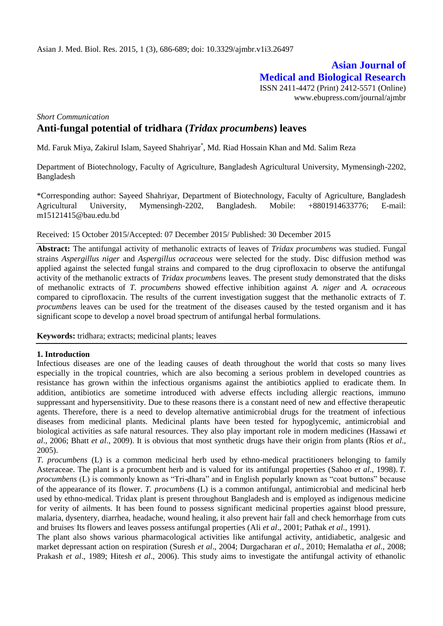# **Asian Journal of Medical and Biological Research**

ISSN 2411-4472 (Print) 2412-5571 (Online) www.ebupress.com/journal/ajmbr

# *Short Communication* **Anti-fungal potential of tridhara (***Tridax procumbens***) leaves**

Md. Faruk Miya, Zakirul Islam, Sayeed Shahriyar\* , Md. Riad Hossain Khan and Md. Salim Reza

Department of Biotechnology, Faculty of Agriculture, Bangladesh Agricultural University, Mymensingh-2202, Bangladesh

\*Corresponding author: Sayeed Shahriyar, Department of Biotechnology, Faculty of Agriculture, Bangladesh Agricultural University, Mymensingh-2202, Bangladesh. Mobile: +8801914633776; E-mail: [m15121415@bau.edu.bd](mailto:m15121415@bau.edu.bd)

Received: 15 October 2015/Accepted: 07 December 2015/ Published: 30 December 2015

**Abstract:** The antifungal activity of methanolic extracts of leaves of *Tridax procumbens* was studied. Fungal strains *Aspergillus niger* and *Aspergillus ocraceous* were selected for the study. Disc diffusion method was applied against the selected fungal strains and compared to the drug ciprofloxacin to observe the antifungal activity of the methanolic extracts of *Tridax procumbens* leaves. The present study demonstrated that the disks of methanolic extracts of *T. procumbens* showed effective inhibition against *A. niger* and *A. ocraceous* compared to ciprofloxacin. The results of the current investigation suggest that the methanolic extracts of *T. procumbens* leaves can be used for the treatment of the diseases caused by the tested organism and it has significant scope to develop a novel broad spectrum of antifungal herbal formulations.

**Keywords:** tridhara; extracts; medicinal plants; leaves

# **1. Introduction**

Infectious diseases are one of the leading causes of death throughout the world that costs so many lives especially in the tropical countries, which are also becoming a serious problem in developed countries as resistance has grown within the infectious organisms against the antibiotics applied to eradicate them. In addition, antibiotics are sometime introduced with adverse effects including allergic reactions, immuno suppressant and hypersensitivity. Due to these reasons there is a constant need of new and effective therapeutic agents. Therefore, there is a need to develop alternative antimicrobial drugs for the treatment of infectious diseases from medicinal plants. Medicinal plants have been tested for hypoglycemic, antimicrobial and biological activities as safe natural resources. They also play important role in modern medicines (Hassawi *et al*., 2006; Bhatt *et al*., 2009). It is obvious that most synthetic drugs have their origin from plants (Ríos *et al*., 2005).

*T. procumbens* (L) is a common medicinal herb used by ethno-medical practitioners belonging to family Asteraceae. The plant is a procumbent herb and is valued for its antifungal properties (Sahoo *et al*., 1998). *T. procumbens* (L) is commonly known as "Tri-dhara" and in English popularly known as "coat buttons" because of the appearance of its flower. *T. procumbens* (L) is a common antifungal, antimicrobial and medicinal herb used by ethno-medical. Tridax plant is present throughout Bangladesh and is employed as indigenous medicine for verity of ailments. It has been found to possess significant medicinal properties against blood pressure, malaria, dysentery, diarrhea, headache, wound healing, it also prevent hair fall and check hemorrhage from cuts and bruises. Its flowers and leaves possess antifungal properties (Ali *et al*., 2001; Pathak *et al*., 1991).

The plant also shows various pharmacological activities like antifungal activity, antidiabetic, analgesic and market depressant action on respiration (Suresh *et al*., 2004; Durgacharan *et al*., 2010; Hemalatha *et al*., 2008; Prakash *et al*., 1989; Hitesh *et al*., 2006). This study aims to investigate the antifungal activity of ethanolic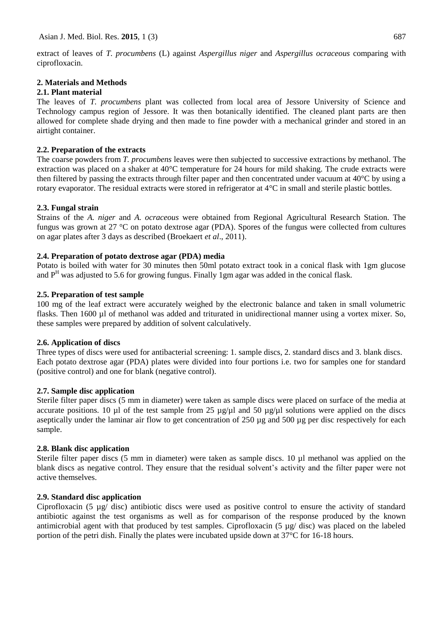extract of leaves of *T. procumbens* (L) against *Aspergillus niger* and *Aspergillus ocraceous* comparing with ciprofloxacin.

# **2. Materials and Methods**

## **2.1. Plant material**

The leaves of *T. procumbens* plant was collected from local area of Jessore University of Science and Technology campus region of Jessore. It was then botanically identified. The cleaned plant parts are then allowed for complete shade drying and then made to fine powder with a mechanical grinder and stored in an airtight container.

## **2.2. Preparation of the extracts**

The coarse powders from *T. procumbens* leaves were then subjected to successive extractions by methanol. The extraction was placed on a shaker at 40°C temperature for 24 hours for mild shaking. The crude extracts were then filtered by passing the extracts through filter paper and then concentrated under vacuum at 40°C by using a rotary evaporator. The residual extracts were stored in refrigerator at 4°C in small and sterile plastic bottles.

## **2.3. Fungal strain**

Strains of the *A. niger* and *A. ocraceous* were obtained from Regional Agricultural Research Station. The fungus was grown at 27 °C on potato dextrose agar (PDA). Spores of the fungus were collected from cultures on agar plates after 3 days as described (Broekaert *et al*., 2011).

# **2.4. Preparation of potato dextrose agar (PDA) media**

Potato is boiled with water for 30 minutes then 50ml potato extract took in a conical flask with 1gm glucose and  $P<sup>H</sup>$  was adjusted to 5.6 for growing fungus. Finally 1gm agar was added in the conical flask.

## **2.5. Preparation of test sample**

100 mg of the leaf extract were accurately weighed by the electronic balance and taken in small volumetric flasks. Then 1600 µl of methanol was added and triturated in unidirectional manner using a vortex mixer. So, these samples were prepared by addition of solvent calculatively.

# **2.6. Application of discs**

Three types of discs were used for antibacterial screening: 1. sample discs, 2. standard discs and 3. blank discs. Each potato dextrose agar (PDA) plates were divided into four portions i.e. two for samples one for standard (positive control) and one for blank (negative control).

#### **2.7. Sample disc application**

Sterile filter paper discs (5 mm in diameter) were taken as sample discs were placed on surface of the media at accurate positions. 10  $\mu$ l of the test sample from 25  $\mu$ g/ $\mu$ l and 50  $\mu$ g/ $\mu$ l solutions were applied on the discs aseptically under the laminar air flow to get concentration of 250 µg and 500 µg per disc respectively for each sample.

# **2.8. Blank disc application**

Sterile filter paper discs (5 mm in diameter) were taken as sample discs. 10 µl methanol was applied on the blank discs as negative control. They ensure that the residual solvent's activity and the filter paper were not active themselves.

# **2.9. Standard disc application**

Ciprofloxacin (5 µg/ disc) antibiotic discs were used as positive control to ensure the activity of standard antibiotic against the test organisms as well as for comparison of the response produced by the known antimicrobial agent with that produced by test samples. Ciprofloxacin (5 µg/ disc) was placed on the labeled portion of the petri dish. Finally the plates were incubated upside down at 37°C for 16-18 hours.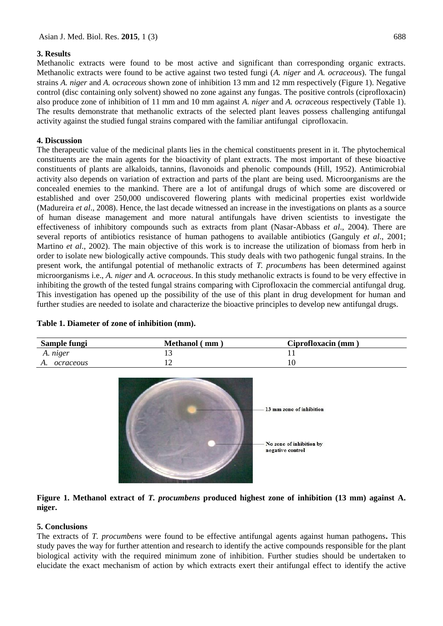# **3. Results**

Methanolic extracts were found to be most active and significant than corresponding organic extracts. Methanolic extracts were found to be active against two tested fungi (*A. niger* and *A. ocraceous*). The fungal strains *A. niger* and *A. ocraceous* shown zone of inhibition 13 mm and 12 mm respectively (Figure 1). Negative control (disc containing only solvent) showed no zone against any fungas. The positive controls (ciprofloxacin) also produce zone of inhibition of 11 mm and 10 mm against *A. niger* and *A. ocraceous* respectively (Table 1). The results demonstrate that methanolic extracts of the selected plant leaves possess challenging antifungal activity against the studied fungal strains compared with the familiar antifungal ciprofloxacin.

# **4. Discussion**

The therapeutic value of the medicinal plants lies in the chemical constituents present in it. The phytochemical constituents are the main agents for the bioactivity of plant extracts. The most important of these bioactive constituents of plants are alkaloids, tannins, flavonoids and phenolic compounds (Hill, 1952). Antimicrobial activity also depends on variation of extraction and parts of the plant are being used. Microorganisms are the concealed enemies to the mankind. There are a lot of antifungal drugs of which some are discovered or established and over 250,000 undiscovered flowering plants with medicinal properties exist worldwide (Madureira *et al*., 2008). Hence, the last decade witnessed an increase in the investigations on plants as a source of human disease management and more natural antifungals have driven scientists to investigate the effectiveness of inhibitory compounds such as extracts from plant (Nasar-Abbass *et al*., 2004). There are several reports of antibiotics resistance of human pathogens to available antibiotics (Ganguly *et al*., 2001; Martino *et al*., 2002). The main objective of this work is to increase the utilization of biomass from herb in order to isolate new biologically active compounds. This study deals with two pathogenic fungal strains. In the present work, the antifungal potential of methanolic extracts of *T. procumbens* has been determined against microorganisms i.e., *A. niger* and *A. ocraceous*. In this study methanolic extracts is found to be very effective in inhibiting the growth of the tested fungal strains comparing with Ciprofloxacin the commercial antifungal drug. This investigation has opened up the possibility of the use of this plant in drug development for human and further studies are needed to isolate and characterize the bioactive principles to develop new antifungal drugs.

| Sample fungi    | <b>Methanol</b> (mm) | Ciprofloxacin (mm) |
|-----------------|----------------------|--------------------|
| A. niger        |                      |                    |
| ocraceous<br>A. | ∸                    |                    |



# **Figure 1. Methanol extract of** *T. procumbens* **produced highest zone of inhibition (13 mm) against A. niger.**

# **5. Conclusions**

The extracts of *T. procumbens* were found to be effective antifungal agents against human pathogens**.** This study paves the way for further attention and research to identify the active compounds responsible for the plant biological activity with the required minimum zone of inhibition. Further studies should be undertaken to elucidate the exact mechanism of action by which extracts exert their antifungal effect to identify the active